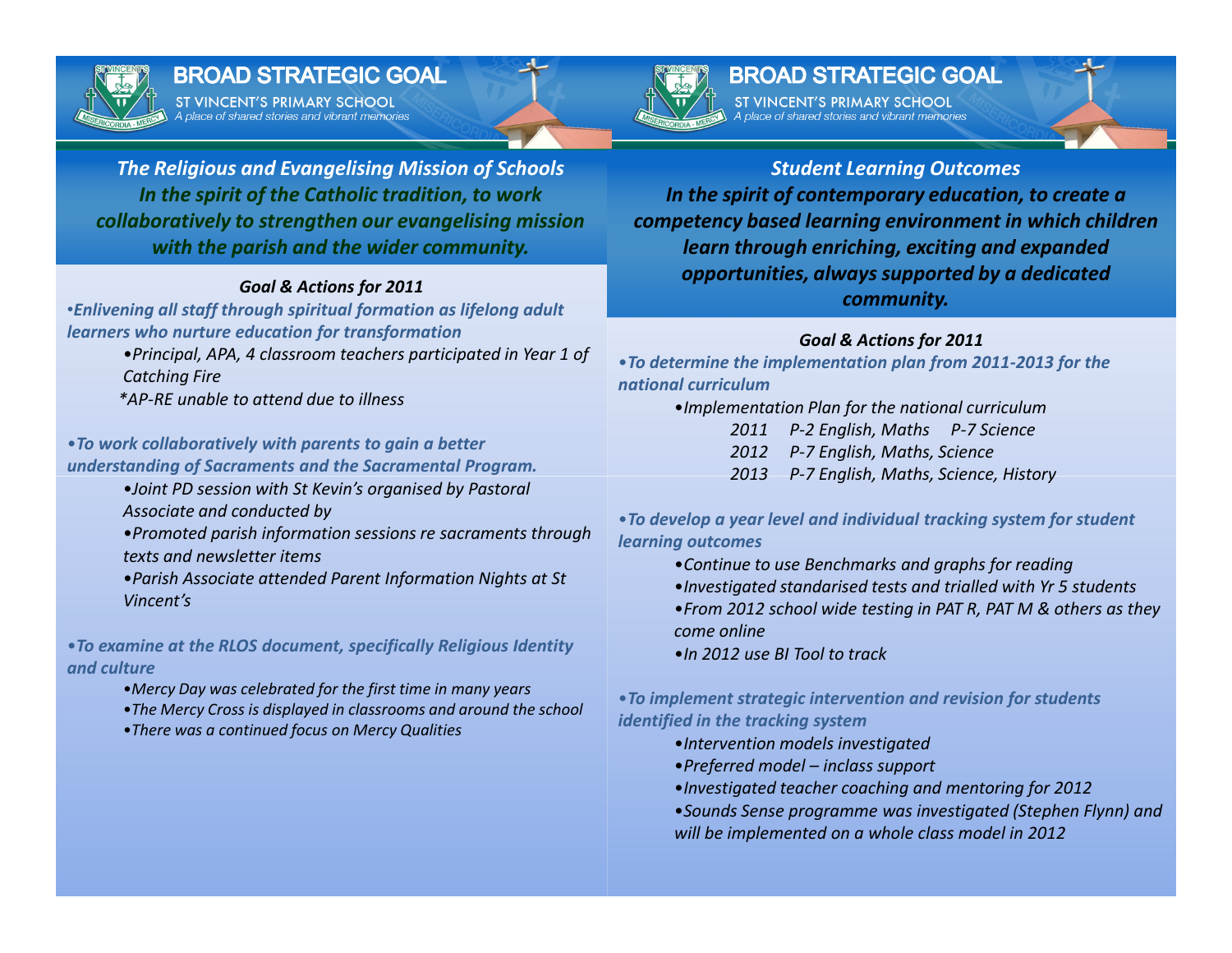

### **BROAD STRATEGIC GOAL**

ST VINCENT'S PRIMARY SCHOOL A place of shared stories and vibrant memories



# **BROAD STRATEGIC GOAL**

ST VINCENT'S PRIMARY SCHOOL

The Religious and Evangelising Mission of SchoolsIn the spirit of the Catholic tradition, to work collaboratively to strengthen our evangelising mission with the parish and the wider community.

#### Goal & Actions for 2011

 •Enlivening all staff through spiritual formation as lifelong adult learners who nurture education for transformation

> •Principal, APA, 4 classroom teachers participated in Year 1 of Catching Fire

\*AP-RE unable to attend due to illness

#### •To work collaboratively with parents to gain a better understanding of Sacraments and the Sacramental Program.

- •Joint PD session with St Kevin's organised by Pastoral Associate and conducted by
- •Promoted parish information sessions re sacraments through texts and newsletter items
- •Parish Associate attended Parent Information Nights at St Vincent's

•To examine at the RLOS document, specifically Religious Identity and culture

- •Mercy Day was celebrated for the first time in many years
- •The Mercy Cross is displayed in classrooms and around the school
- •There was a continued focus on Mercy Qualities

Student Learning Outcomes In the spirit of contemporary education, to create a competency based learning environment in which children learn through enriching, exciting and expanded opportunities, always supported by a dedicated community.

### Goal & Actions for 2011

- •To determine the implementation plan from 2011-2013 for the national curriculum
	- •Implementation Plan for the national curriculum
		- 2011 P-2 English, Maths P-7 Science
		- 2012 P-7 English, Maths, Science
		- 2013 P-7 English, Maths, Science, History
- •To develop a year level and individual tracking system for student learning outcomes
	- •Continue to use Benchmarks and graphs for reading
	- •Investigated standarised tests and trialled with Yr 5 students
	- •From 2012 school wide testing in PAT R, PAT M & others as they come online
	- •In 2012 use BI Tool to track

•To implement strategic intervention and revision for students identified in the tracking system

- •Intervention models investigated
- •Preferred model inclass support
- •Investigated teacher coaching and mentoring for 2012
- •Sounds Sense programme was investigated (Stephen Flynn) and will be implemented on a whole class model in 2012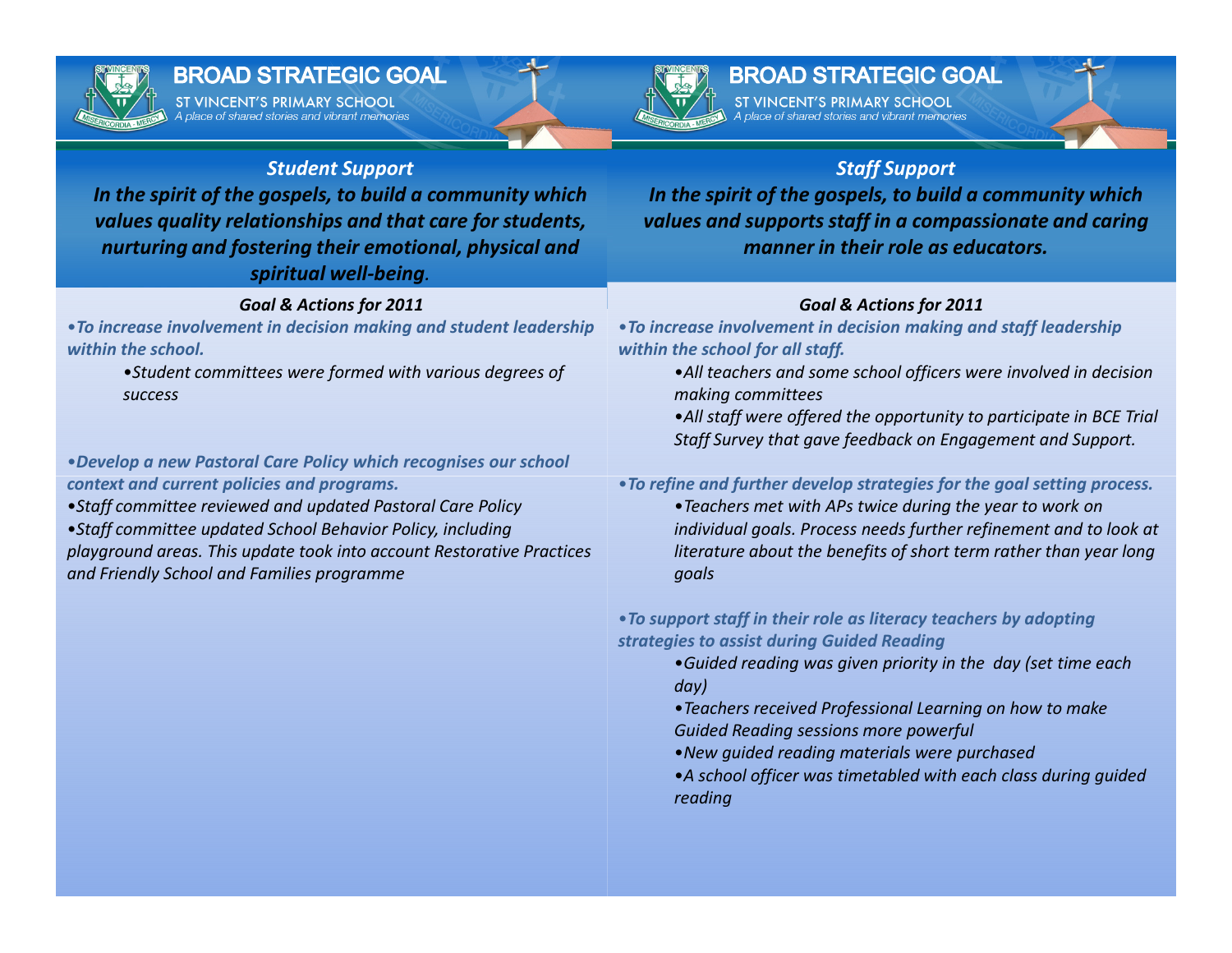

# **BROAD STRATEGIC GOAL**

ST VINCENT'S PRIMARY SCHOOL place of shared stories and vibrant memories



# **BROAD STRATEGIC GOAL**

ST VINCENT'S PRIMARY SCHOOL

### Student Support

 In the spirit of the gospels, to build a community which values quality relationships and that care for students, nurturing and fostering their emotional, physical and spiritual well-being.

### Goal & Actions for 2011

 •To increase involvement in decision making and student leadership within the school.

> •Student committees were formed with various degrees of success

•Develop a new Pastoral Care Policy which recognises our school context and current policies and programs.

•Staff committee reviewed and updated Pastoral Care Policy

•Staff committee updated School Behavior Policy, including playground areas. This update took into account Restorative Practices and Friendly School and Families programme

### Staff Support

 In the spirit of the gospels, to build a community which values and supports staff in a compassionate and caring manner in their role as educators.

### Goal & Actions for 2011

 •To increase involvement in decision making and staff leadership within the school for all staff.

- •All teachers and some school officers were involved in decision making committees
- •All staff were offered the opportunity to participate in BCE Trial Staff Survey that gave feedback on Engagement and Support.

•To refine and further develop strategies for the goal setting process.

•Teachers met with APs twice during the year to work on individual goals. Process needs further refinement and to look at literature about the benefits of short term rather than year long goals

### •To support staff in their role as literacy teachers by adopting strategies to assist during Guided Reading

- •Guided reading was given priority in the day (set time each day)
- •Teachers received Professional Learning on how to make Guided Reading sessions more powerful
- •New guided reading materials were purchased
- •A school officer was timetabled with each class during guided reading